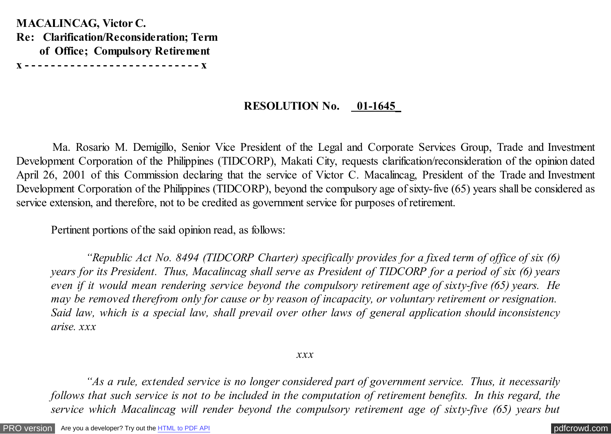**MACALINCAG, Victor C. Re: Clarification/Reconsideration; Term of Office; Compulsory Retirement x - - - - - - - - - - - - - - - - - - - - - - - - - - - x**

## **RESOLUTION No. 01-1645\_**

Ma. Rosario M. Demigillo, Senior Vice President of the Legal and Corporate Services Group, Trade and Investment Development Corporation of the Philippines (TIDCORP), Makati City, requests clarification/reconsideration of the opinion dated April 26, 2001 of this Commission declaring that the service of Victor C. Macalincag, President of the Trade and Investment Development Corporation of the Philippines (TIDCORP), beyond the compulsory age of sixty-five (65) years shall be considered as service extension, and therefore, not to be credited as government service for purposes of retirement.

Pertinent portions of the said opinion read, as follows:

 *"Republic Act No. 8494 (TIDCORP Charter) specifically provides for a fixed term of office of six (6) years for its President. Thus, Macalincag shall serve as President of TIDCORP for a period of six (6) years even if it would mean rendering service beyond the compulsory retirement age of sixty-five (65) years. He may be removed therefrom only for cause or by reason of incapacity, or voluntary retirement or resignation. Said law, which is a special law, shall prevail over other laws of general application should inconsistency arise. xxx*

## *xxx*

 *"As a rule, extended service is no longer considered part of government service. Thus, it necessarily follows that such service is not to be included in the computation of retirement benefits. In this regard, the service which Macalincag will render beyond the compulsory retirement age of sixty-five (65) years but*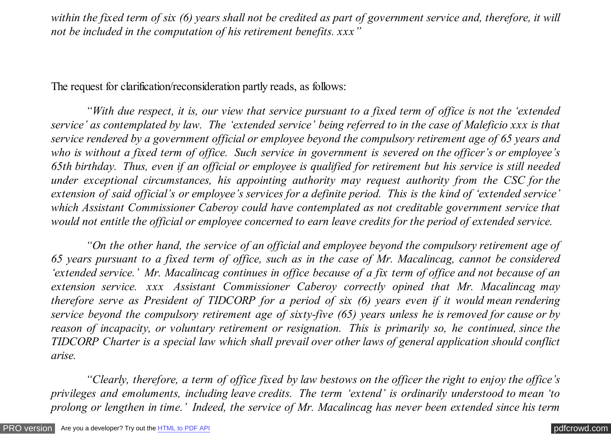within the fixed term of six (6) years shall not be credited as part of government service and, therefore, it will *not be included in the computation of his retirement benefits. xxx"*

The request for clarification/reconsideration partly reads, as follows:

 *"With due respect, it is, our view that service pursuant to a fixed term of office is not the 'extended service' as contemplated by law. The 'extended service' being referred to in the case of Maleficio xxx is that service rendered by a government official or employee beyond the compulsory retirement age of 65 years and who is without a fixed term of office. Such service in government is severed on the officer's or employee's 65th birthday. Thus, even if an official or employee is qualified for retirement but his service is still needed under exceptional circumstances, his appointing authority may request authority from the CSC for the extension of said official's or employee's services for a definite period. This is the kind of 'extended service' which Assistant Commissioner Caberoy could have contemplated as not creditable government service that would not entitle the official or employee concerned to earn leave credits for the period of extended service.*

 *"On the other hand, the service of an official and employee beyond the compulsory retirement age of 65 years pursuant to a fixed term of office, such as in the case of Mr. Macalincag, cannot be considered 'extended service.' Mr. Macalincag continues in office because of a fix term of office and not because of an extension service. xxx Assistant Commissioner Caberoy correctly opined that Mr. Macalincag may therefore serve as President of TIDCORP for a period of six (6) years even if it would mean rendering service beyond the compulsory retirement age of sixty-five (65) years unless he is removed for cause or by reason of incapacity, or voluntary retirement or resignation. This is primarily so, he continued, since the TIDCORP Charter is a special law which shall prevail over other laws of general application should conflict arise.*

 *"Clearly, therefore, a term of office fixed by law bestows on the officer the right to enjoy the office's privileges and emoluments, including leave credits. The term 'extend' is ordinarily understood to mean 'to prolong or lengthen in time.' Indeed, the service of Mr. Macalincag has never been extended since his term*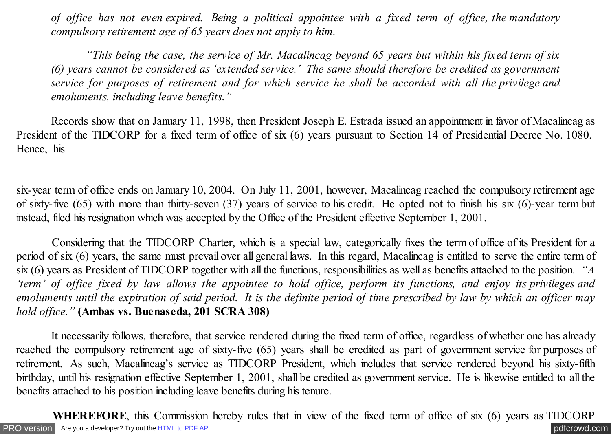*of office has not even expired. Being a political appointee with a fixed term of office, the mandatory compulsory retirement age of 65 years does not apply to him.*

 *"This being the case, the service of Mr. Macalincag beyond 65 years but within his fixed term of six (6) years cannot be considered as 'extended service.' The same should therefore be credited as government service for purposes of retirement and for which service he shall be accorded with all the privilege and emoluments, including leave benefits."* 

 Records show that on January 11, 1998, then President Joseph E. Estrada issued an appointment in favor of Macalincag as President of the TIDCORP for a fixed term of office of six (6) years pursuant to Section 14 of Presidential Decree No. 1080. Hence, his

six-year term of office ends on January 10, 2004. On July 11, 2001, however, Macalincag reached the compulsory retirement age of sixty-five (65) with more than thirty-seven (37) years of service to his credit. He opted not to finish his six (6)-year term but instead, filed his resignation which was accepted by the Office of the President effective September 1, 2001.

 Considering that the TIDCORP Charter, which is a special law, categorically fixes the term of office of its President for a period of six (6) years, the same must prevail over all general laws. In this regard, Macalincag is entitled to serve the entire term of six (6) years as President of TIDCORP together with all the functions, responsibilities as well as benefits attached to the position. *"A 'term' of office fixed by law allows the appointee to hold office, perform its functions, and enjoy its privileges and emoluments until the expiration of said period. It is the definite period of time prescribed by law by which an officer may hold office."* **(Ambas vs. Buenaseda, 201 SCRA 308)**

It necessarily follows, therefore, that service rendered during the fixed term of office, regardless of whether one has already reached the compulsory retirement age of sixty-five (65) years shall be credited as part of government service for purposes of retirement. As such, Macalincag's service as TIDCORP President, which includes that service rendered beyond his sixty-fifth birthday, until his resignation effective September 1, 2001, shall be credited as government service. He is likewise entitled to all the benefits attached to his position including leave benefits during his tenure.

[PRO version](http://pdfcrowd.com/customize/) Are you a developer? Try out the **HTML to PDF API [pdfcrowd.com](http://pdfcrowd.com) WHEREFORE**, this Commission hereby rules that in view of the fixed term of office of six (6) years as TIDCORP